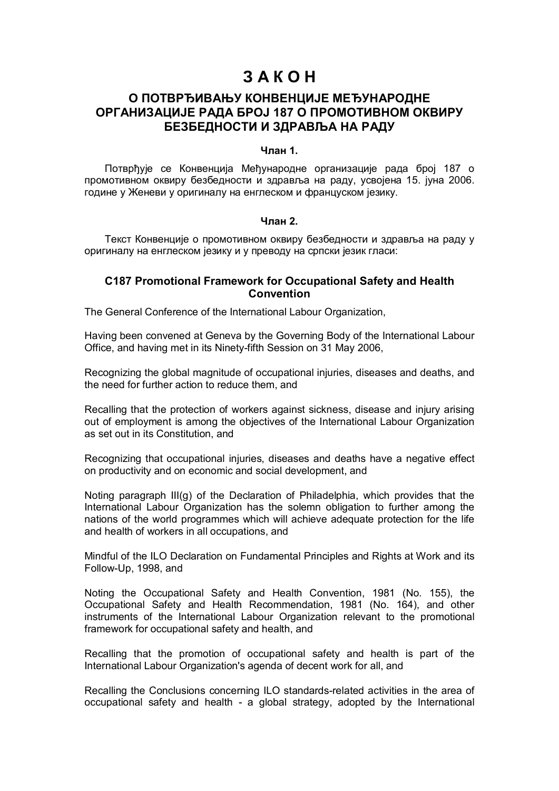# **З А К О Н**

# **О ПОТВРЂИВАЊУ КОНВЕНЦИЈЕ МЕЂУНАРОДНЕ ОРГАНИЗАЦИЈЕ РАДА БРОЈ 187 О ПРОМОТИВНОМ ОКВИРУ БЕЗБЕДНОСТИ И ЗДРАВЉА НА РАДУ**

#### **Члан 1.**

 Потврђује се Конвенција Међународне организације рада број 187 о промотивном оквиру безбедности и здравља на раду, усвојена 15. јуна 2006. године у Женеви у оригиналу на енглеском и француском језику.

#### **Члан 2.**

 Текст Конвенције о промотивном оквиру безбедности и здравља на раду у оригиналу на енглеском језику и у преводу на српски језик гласи:

## **C187 Promotional Framework for Occupational Safety and Health Convention**

The General Conference of the International Labour Organization,

Having been convened at Geneva by the Governing Body of the International Labour Office, and having met in its Ninety-fifth Session on 31 May 2006,

Recognizing the global magnitude of occupational injuries, diseases and deaths, and the need for further action to reduce them, and

Recalling that the protection of workers against sickness, disease and injury arising out of employment is among the objectives of the International Labour Organization as set out in its Constitution, and

Recognizing that occupational injuries, diseases and deaths have a negative effect on productivity and on economic and social development, and

Noting paragraph III(g) of the Declaration of Philadelphia, which provides that the International Labour Organization has the solemn obligation to further among the nations of the world programmes which will achieve adequate protection for the life and health of workers in all occupations, and

Mindful of the ILO Declaration on Fundamental Principles and Rights at Work and its Follow-Up, 1998, and

Noting the Occupational Safety and Health Convention, 1981 (No. 155), the Occupational Safety and Health Recommendation, 1981 (No. 164), and other instruments of the International Labour Organization relevant to the promotional framework for occupational safety and health, and

Recalling that the promotion of occupational safety and health is part of the International Labour Organization's agenda of decent work for all, and

Recalling the Conclusions concerning ILO standards-related activities in the area of occupational safety and health - a global strategy, adopted by the International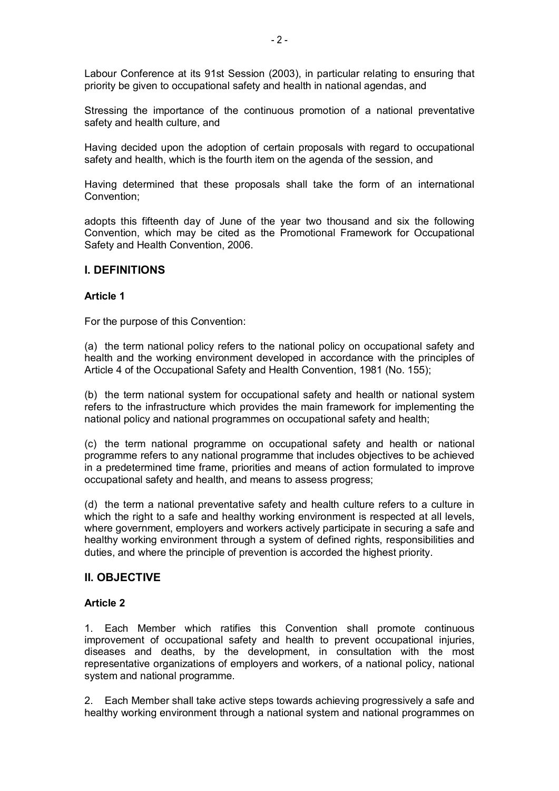Labour Conference at its 91st Session (2003), in particular relating to ensuring that priority be given to occupational safety and health in national agendas, and

Stressing the importance of the continuous promotion of a national preventative safety and health culture, and

Having decided upon the adoption of certain proposals with regard to occupational safety and health, which is the fourth item on the agenda of the session, and

Having determined that these proposals shall take the form of an international Convention;

adopts this fifteenth day of June of the year two thousand and six the following Convention, which may be cited as the Promotional Framework for Occupational Safety and Health Convention, 2006.

## **I. DEFINITIONS**

#### **Article 1**

For the purpose of this Convention:

(a) the term national policy refers to the national policy on occupational safety and health and the working environment developed in accordance with the principles of Article 4 of the Occupational Safety and Health Convention, 1981 (No. 155);

(b) the term national system for occupational safety and health or national system refers to the infrastructure which provides the main framework for implementing the national policy and national programmes on occupational safety and health;

(c) the term national programme on occupational safety and health or national programme refers to any national programme that includes objectives to be achieved in a predetermined time frame, priorities and means of action formulated to improve occupational safety and health, and means to assess progress;

(d) the term a national preventative safety and health culture refers to a culture in which the right to a safe and healthy working environment is respected at all levels, where government, employers and workers actively participate in securing a safe and healthy working environment through a system of defined rights, responsibilities and duties, and where the principle of prevention is accorded the highest priority.

## **II. OBJECTIVE**

#### **Article 2**

1. Each Member which ratifies this Convention shall promote continuous improvement of occupational safety and health to prevent occupational injuries, diseases and deaths, by the development, in consultation with the most representative organizations of employers and workers, of a national policy, national system and national programme.

2. Each Member shall take active steps towards achieving progressively a safe and healthy working environment through a national system and national programmes on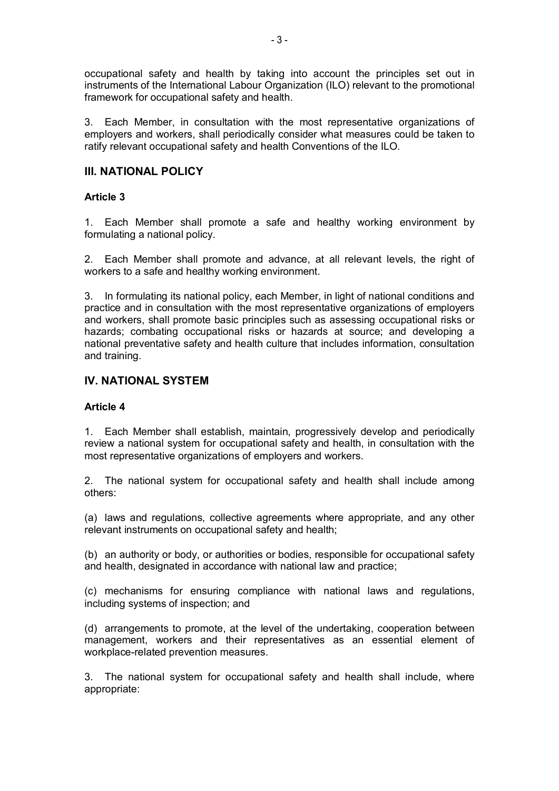occupational safety and health by taking into account the principles set out in instruments of the International Labour Organization (ILO) relevant to the promotional framework for occupational safety and health.

3. Each Member, in consultation with the most representative organizations of employers and workers, shall periodically consider what measures could be taken to ratify relevant occupational safety and health Conventions of the ILO.

# **III. NATIONAL POLICY**

## **Article 3**

1. Each Member shall promote a safe and healthy working environment by formulating a national policy.

2. Each Member shall promote and advance, at all relevant levels, the right of workers to a safe and healthy working environment.

3. In formulating its national policy, each Member, in light of national conditions and practice and in consultation with the most representative organizations of employers and workers, shall promote basic principles such as assessing occupational risks or hazards; combating occupational risks or hazards at source; and developing a national preventative safety and health culture that includes information, consultation and training.

# **IV. NATIONAL SYSTEM**

## **Article 4**

1. Each Member shall establish, maintain, progressively develop and periodically review a national system for occupational safety and health, in consultation with the most representative organizations of employers and workers.

2. The national system for occupational safety and health shall include among others:

(a) laws and regulations, collective agreements where appropriate, and any other relevant instruments on occupational safety and health;

(b) an authority or body, or authorities or bodies, responsible for occupational safety and health, designated in accordance with national law and practice;

(c) mechanisms for ensuring compliance with national laws and regulations, including systems of inspection; and

(d) arrangements to promote, at the level of the undertaking, cooperation between management, workers and their representatives as an essential element of workplace-related prevention measures.

3. The national system for occupational safety and health shall include, where appropriate: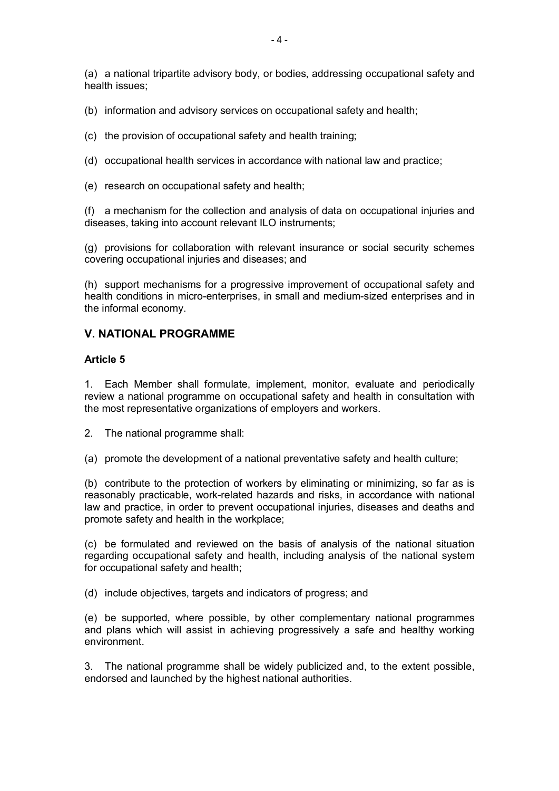(a) a national tripartite advisory body, or bodies, addressing occupational safety and health issues;

(b) information and advisory services on occupational safety and health;

(c) the provision of occupational safety and health training;

(d) occupational health services in accordance with national law and practice;

(e) research on occupational safety and health;

(f) a mechanism for the collection and analysis of data on occupational injuries and diseases, taking into account relevant ILO instruments;

(g) provisions for collaboration with relevant insurance or social security schemes covering occupational injuries and diseases; and

(h) support mechanisms for a progressive improvement of occupational safety and health conditions in micro-enterprises, in small and medium-sized enterprises and in the informal economy.

# **V. NATIONAL PROGRAMME**

#### **Article 5**

1. Each Member shall formulate, implement, monitor, evaluate and periodically review a national programme on occupational safety and health in consultation with the most representative organizations of employers and workers.

2. The national programme shall:

(a) promote the development of a national preventative safety and health culture;

(b) contribute to the protection of workers by eliminating or minimizing, so far as is reasonably practicable, work-related hazards and risks, in accordance with national law and practice, in order to prevent occupational injuries, diseases and deaths and promote safety and health in the workplace;

(c) be formulated and reviewed on the basis of analysis of the national situation regarding occupational safety and health, including analysis of the national system for occupational safety and health;

(d) include objectives, targets and indicators of progress; and

(e) be supported, where possible, by other complementary national programmes and plans which will assist in achieving progressively a safe and healthy working environment.

3. The national programme shall be widely publicized and, to the extent possible, endorsed and launched by the highest national authorities.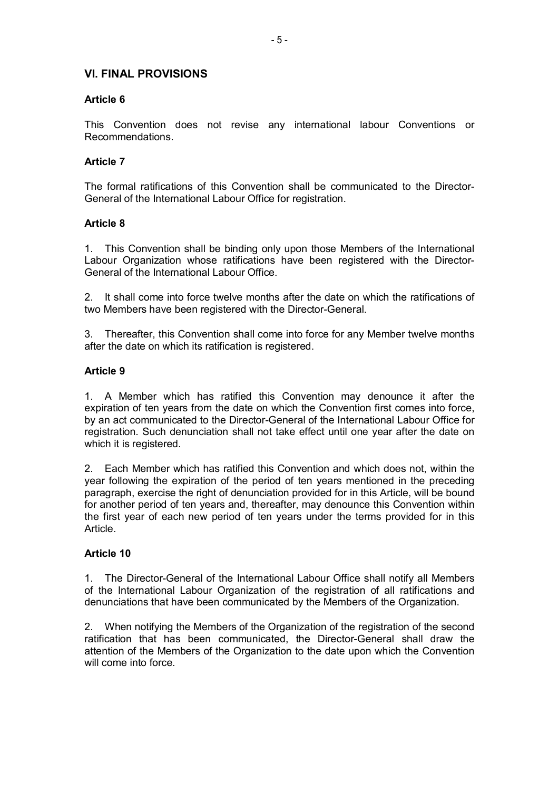# **VI. FINAL PROVISIONS**

## **Article 6**

This Convention does not revise any international labour Conventions or Recommendations.

## **Article 7**

The formal ratifications of this Convention shall be communicated to the Director-General of the International Labour Office for registration.

#### **Article 8**

1. This Convention shall be binding only upon those Members of the International Labour Organization whose ratifications have been registered with the Director-General of the International Labour Office.

2. It shall come into force twelve months after the date on which the ratifications of two Members have been registered with the Director-General.

3. Thereafter, this Convention shall come into force for any Member twelve months after the date on which its ratification is registered.

## **Article 9**

1. A Member which has ratified this Convention may denounce it after the expiration of ten years from the date on which the Convention first comes into force, by an act communicated to the Director-General of the International Labour Office for registration. Such denunciation shall not take effect until one year after the date on which it is registered.

2. Each Member which has ratified this Convention and which does not, within the year following the expiration of the period of ten years mentioned in the preceding paragraph, exercise the right of denunciation provided for in this Article, will be bound for another period of ten years and, thereafter, may denounce this Convention within the first year of each new period of ten years under the terms provided for in this Article.

## **Article 10**

1. The Director-General of the International Labour Office shall notify all Members of the International Labour Organization of the registration of all ratifications and denunciations that have been communicated by the Members of the Organization.

2. When notifying the Members of the Organization of the registration of the second ratification that has been communicated, the Director-General shall draw the attention of the Members of the Organization to the date upon which the Convention will come into force.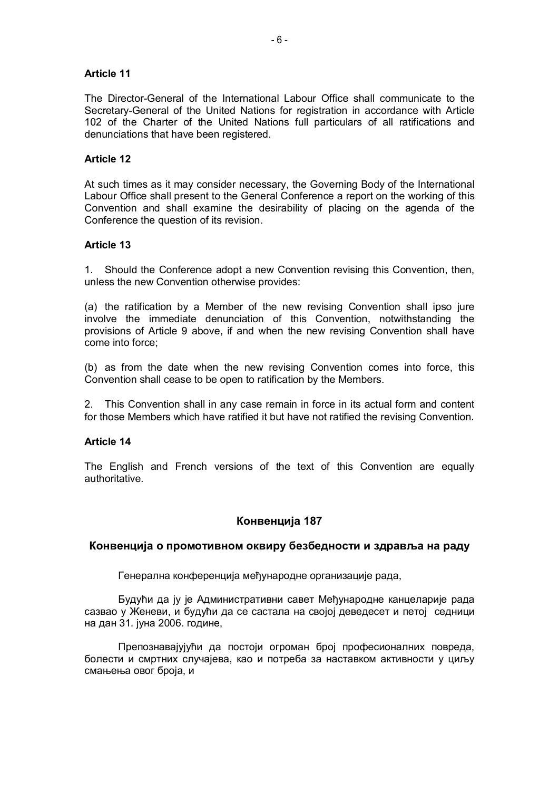## **Article 11**

The Director-General of the International Labour Office shall communicate to the Secretary-General of the United Nations for registration in accordance with Article 102 of the Charter of the United Nations full particulars of all ratifications and denunciations that have been registered.

# **Article 12**

At such times as it may consider necessary, the Governing Body of the International Labour Office shall present to the General Conference a report on the working of this Convention and shall examine the desirability of placing on the agenda of the Conference the question of its revision.

# **Article 13**

1. Should the Conference adopt a new Convention revising this Convention, then, unless the new Convention otherwise provides:

(a) the ratification by a Member of the new revising Convention shall ipso jure involve the immediate denunciation of this Convention, notwithstanding the provisions of Article 9 above, if and when the new revising Convention shall have come into force;

(b) as from the date when the new revising Convention comes into force, this Convention shall cease to be open to ratification by the Members.

2. This Convention shall in any case remain in force in its actual form and content for those Members which have ratified it but have not ratified the revising Convention.

## **Article 14**

The English and French versions of the text of this Convention are equally authoritative.

# **Конвенција 187**

## **Конвенција о промотивном оквиру безбедности и здравља на раду**

Генерална конференција међународне организације рада,

Будући да ју је Административни савет Међународне канцеларије рада сазвао у Женеви, и будући да се састала на својој деведесет и петој седници на дан 31. јуна 2006. године,

Препознавајујући да постоји огроман број професионалних повреда, болести и смртних случајева, као и потреба за наставком активности у циљу смањења овог броја, и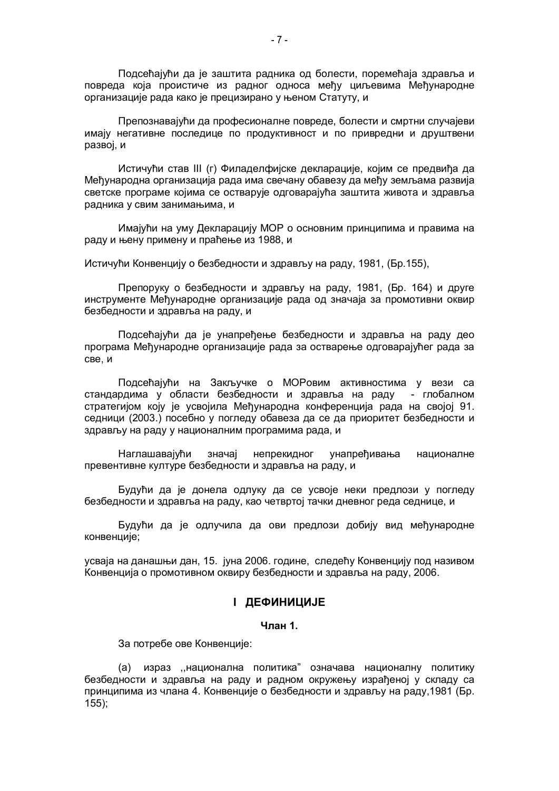Подсећајући да је заштита радника од болести, поремећаја здравља и повреда која проистиче из радног односа међу циљевима Међународне организације рада како је прецизирано у њеном Статуту, и

Препознавајући да професионалне повреде, болести и смртни случајеви имају негативне последице по продуктивност и по привредни и друштвени развој, и

Истичући став III (г) Филаделфијске декларације, којим се предвиђа да Међународна организација рада има свечану обавезу да међу земљама развија светске програме којима се остварује одговарајућа заштита живота и здравља радника у свим занимањима, и

Имајући на уму Декларацију МОР о основним принципима и правима на раду и њену примену и праћење из 1988, и

Истичући Конвенцију о безбедности и здрављу на раду, 1981, (Бр.155),

Препоруку о безбедности и здрављу на раду, 1981, (Бр. 164) и друге инструменте Међународне организације рада од значаја за промотивни оквир безбедности и здравља на раду, и

Подсећајући да је унапређење безбедности и здравља на раду део програма Међународне организације рада за остварење одговарајућег рада за све, и

Подсећајући на Закључке о МОРовим активностима у вези са стандардима у области безбедности и здравља на раду - глобалном стратегијом коју је усвојила Међународна конференција рада на својој 91. седници (2003.) посебно у погледу обавеза да се да приоритет безбедности и здрављу на раду у националним програмима рада, и

Наглашавајући значај непрекидног унапређивања националне превентивне културе безбедности и здравља на раду, и

Будући да је донела одлуку да се усвоје неки предлози у погледу безбедности и здравља на раду, као четвртој тачки дневног реда седнице, и

Будући да је одлучила да ови предлози добију вид међународне конвенције;

усваја на данашњи дан, 15. јуна 2006. године, следећу Конвенцију под називом Конвенција о промотивном оквиру безбедности и здравља на раду, 2006.

#### **I ДЕФИНИЦИЈЕ**

#### **Члан 1.**

За потребе ове Конвенције:

(a) израз ,,национална политика" означава националну политику безбедности и здравља на раду и радном окружењу израђеној у складу са принципима из члана 4. Конвенције о безбедности и здрављу на раду,1981 (Бр. 155);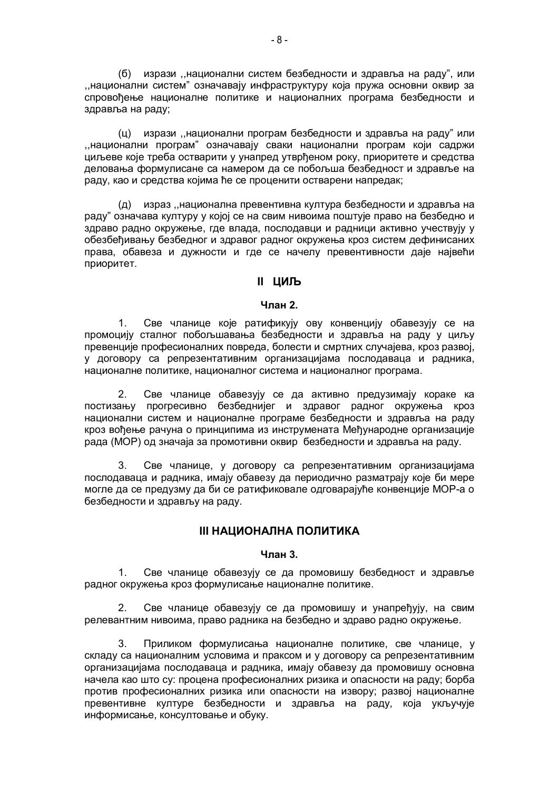(б) изрази ,,национални систем безбедности и здравља на раду", или ,,национални систем" означавају инфраструктуру која пружа основни оквир за спровођење националне политике и националних програма безбедности и здравља на раду;

(ц) изрази ,,национални програм безбедности и здравља на раду" или ,,национални програм" означавају сваки национални програм који садржи циљеве које треба остварити у унапред утврђеном року, приоритете и средства деловања формулисане са намером да се побољша безбедност и здравље на раду, као и средства којима ће се проценити остварени напредак;

(д) израз ,,национална превентивна култура безбедности и здравља на раду" означава културу у којој се на свим нивоима поштује право на безбедно и здраво радно окружење, где влада, послодавци и радници активно учествују у обезбеђивању безбедног и здравог радног окружења кроз систем дефинисаних права, обавеза и дужности и где се начелу превентивности даје највећи приоритет.

# **II ЦИЉ**

#### **Члан 2.**

1. Све чланице које ратификују ову конвенцију обавезују се на промоцију сталног побољшавања безбедности и здравља на раду у циљу превенције професионалних повреда, болести и смртних случајева, кроз развој, у договору са репрезентативним организацијама послодаваца и радника, националне политике, националног система и националног програма.

2. Све чланице обавезују се да активно предузимају кораке ка постизању прогресивно безбеднијег и здравог радног окружења кроз национални систем и националне програме безбедности и здравља на раду кроз вођење рачуна о принципима из инструмената Међународне организације рада (МОР) од значаја за промотивни оквир безбедности и здравља на раду.

3. Све чланице, у договору са репрезентативним организацијама послодаваца и радника, имају обавезу да периодично разматрају које би мере могле да се предузму да би се ратификовале одговарајуће конвенције МОР-а о безбедности и здрављу на раду.

## **III НАЦИОНАЛНА ПОЛИТИКА**

#### **Члан 3.**

1. Све чланице обавезују се да промовишу безбедност и здравље радног окружења кроз формулисање националне политике.

2. Све чланице обавезују се да промовишу и унапређују, на свим релевантним нивоима, право радника на безбедно и здраво радно окружење.

3. Приликом формулисања националне политике, све чланице, у складу са националним условима и праксом и у договору са репрезентативним организацијама послодаваца и радника, имају обавезу да промовишу основна начела као што су: процена професионалних ризика и опасности на раду; борба против професионалних ризика или опасности на извору; развој националне превентивне културе безбедности и здравља на раду, која укључује информисање, консултовање и обуку.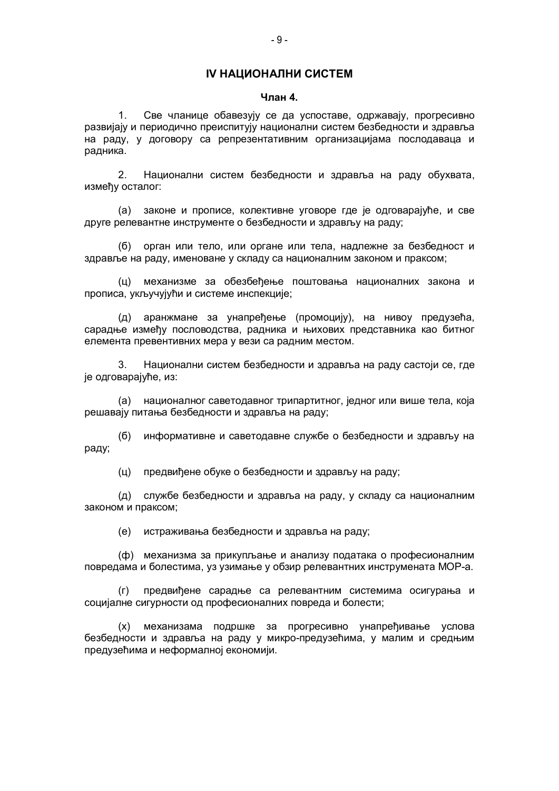#### **IV НАЦИОНАЛНИ СИСТЕМ**

#### **Члан 4.**

1. Све чланице обавезују се да успоставе, одржавају, прогресивно развијају и периодично преиспитују национални систем безбедности и здравља на раду, у договору са репрезентативним организацијама послодаваца и радника.

2. Национални систем безбедности и здравља на раду обухвата, између осталог:

(а) законе и прописе, колективне уговоре где је одговарајуће, и све друге релевантне инструменте о безбедности и здрављу на раду;

(б) орган или тело, или органе или тела, надлежне за безбедност и здравље на раду, именоване у складу са националним законом и праксом;

(ц) механизме за обезбеђење поштовања националних закона и прописа, укључујући и системе инспекције;

(д) аранжмане за унапређење (промоцију), на нивоу предузећа, сарадње између пословодства, радника и њихових представника као битног елемента превентивних мера у вези са радним местом.

3. Национални систем безбедности и здравља на раду састоји се, где је одговарајуће, из:

(а) националног саветодавног трипартитног, једног или више тела, која решавају питања безбедности и здравља на раду;

(б) информативне и саветодавне службе о безбедности и здрављу на раду;

(ц) предвиђене обуке о безбедности и здрављу на раду;

(д) службе безбедности и здравља на раду, у складу са националним законом и праксом;

(е) истраживања безбедности и здравља на раду;

(ф) механизма за прикупљање и анализу података о професионалним повредама и болестима, уз узимање у обзир релевантних инструмената МОР-а.

(г) предвиђене сарадње са релевантним системима осигурања и социјалне сигурности од професионалних повреда и болести;

(х) механизама подршке за прогресивно унапређивање услова безбедности и здравља на раду у микро-предузећима, у малим и средњим предузећима и неформалној економији.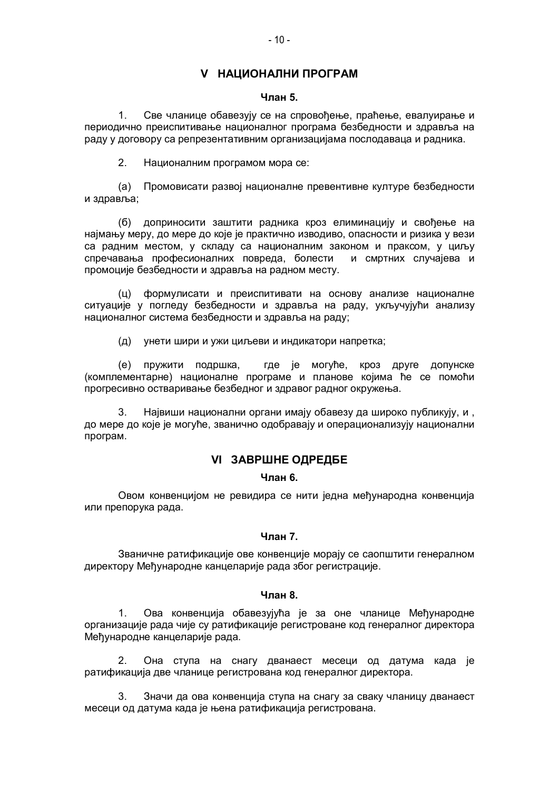## **V НАЦИОНАЛНИ ПРОГРАМ**

#### **Члан 5.**

1. Све чланице обавезују се на спровођење, праћење, евалуирање и периодично преиспитивање националног програма безбедности и здравља на раду у договору са репрезентативним организацијама послодаваца и радника.

2. Националним програмом мора се:

(а) Промовисати развој националне превентивне културе безбедности и здравља;

(б) доприносити заштити радника кроз елиминацију и свођење на најмању меру, до мере до које је практично изводиво, опасности и ризика у вези са радним местом, у складу са националним законом и праксом, у циљу спречавања професионалних повреда, болести и смртних случајева и промоције безбедности и здравља на радном месту.

(ц) формулисати и преиспитивати на основу анализе националне ситуације у погледу безбедности и здравља на раду, укључујући анализу националног система безбедности и здравља на раду;

(д) унети шири и ужи циљеви и индикатори напретка;

(е) пружити подршка, где је могуће, кроз друге допунске (комплементарне) националне програме и планове којима ће се помоћи прогресивно остваривање безбедног и здравог радног окружења.

3. Највиши национални органи имају обавезу да широко публикују, и , до мере до које је могуће, званично одобравају и операционализују национални програм.

# **VI ЗАВРШНЕ ОДРЕДБЕ**

#### **Члан 6.**

Овом конвенцијом не ревидира се нити једна међународна конвенција или препорука рада.

#### **Члан 7.**

Званичне ратификације ове конвенције морају се саопштити генералном директору Међународне канцеларије рада због регистрације.

#### **Члан 8.**

1. Ова конвенција обавезујућа је за оне чланице Међународне организације рада чије су ратификације регистроване код генералног директора Међународне канцеларије рада.

2. Она ступа на снагу дванаест месеци од датума када је ратификација две чланице регистрована код генералног директора.

3. Значи да ова конвенција ступа на снагу за сваку чланицу дванаест месеци од датума када је њена ратификација регистрована.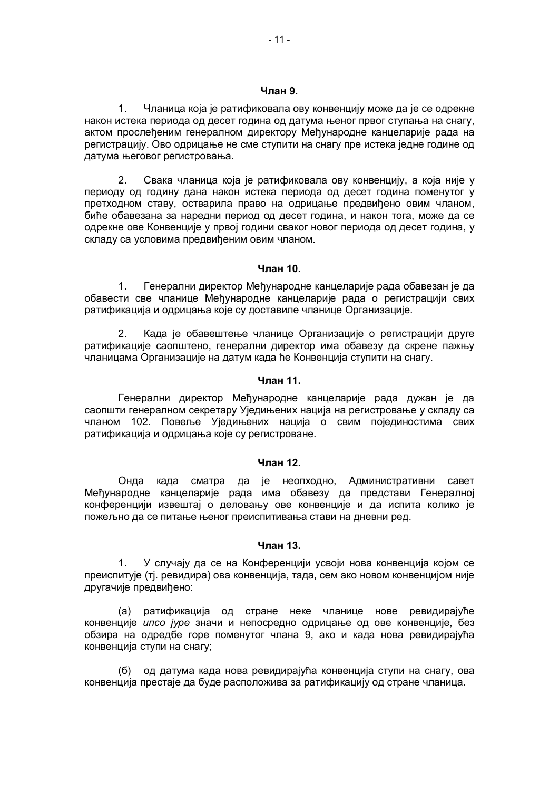#### **Члан 9.**

1. Чланица која је ратификовала ову конвенцију може да је се одрекне након истека периода од десет година од датума њеног првог ступања на снагу, актом прослеђеним генералном директору Међународне канцеларије рада на регистрацију. Ово одрицање не сме ступити на снагу пре истека једне године од датума његовог регистровања.

2. Свака чланица која је ратификовала ову конвенцију, а која није у периоду од годину дана након истека периода од десет година поменутог у претходном ставу, остварила право на одрицање предвиђено овим чланом, биће обавезана за наредни период од десет година, и након тога, може да се одрекне ове Конвенције у првој години сваког новог периода од десет година, у складу са условима предвиђеним овим чланом.

#### **Члан 10.**

1. Генерални директор Међународне канцеларије рада обавезан је да обавести све чланице Међународне канцеларије рада о регистрацији свих ратификација и одрицања које су доставиле чланице Организације.

2. Када је обавештење чланице Организације о регистрацији друге ратификације саопштено, генерални директор има обавезу да скрене пажњу чланицама Организације на датум када ће Конвенција ступити на снагу.

#### **Члан 11.**

Генерални директор Међународне канцеларије рада дужан је да саопшти генералном секретару Уједињених нација на регистровање у складу са чланом 102. Повеље Уједињених нација о свим појединостима свих ратификација и одрицања које су регистроване.

#### **Члан 12.**

Онда када сматра да је неопходно, Административни савет Међународне канцеларије рада има обавезу да представи Генералној конференцији извештај о деловању ове конвенције и да испита колико је пожељно да се питање њеног преиспитивања стави на дневни ред.

#### **Члан 13.**

1. У случају да се на Конференцији усвоји нова конвенција којом се преиспитује (тј. ревидира) ова конвенција, тада, сем ако новом конвенцијом није другачије предвиђено:

(а) ратификација од стране неке чланице нове ревидирајуће конвенције *ипсо јуре* значи и непосредно одрицање од ове конвенције, без обзира на одредбе горе поменутог члана 9, ако и када нова ревидирајућа конвенција ступи на снагу;

(б) од датума када нова ревидирајућа конвенција ступи на снагу, ова конвенција престаје да буде расположива за ратификацију од стране чланица.